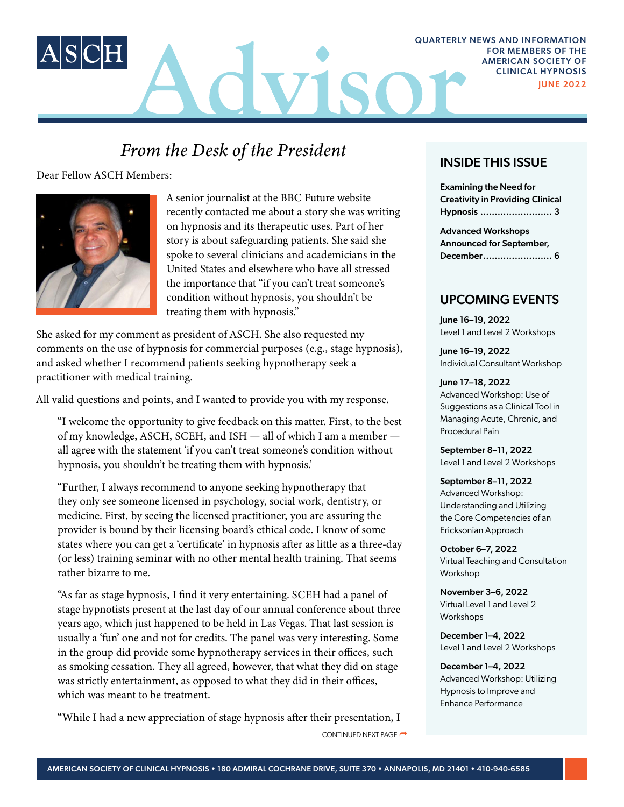

# *From the Desk of the President* **INSIDE THIS ISSUE**

Dear Fellow ASCH Members:



A senior journalist at the BBC Future website recently contacted me about a story she was writing on hypnosis and its therapeutic uses. Part of her story is about safeguarding patients. She said she spoke to several clinicians and academicians in the United States and elsewhere who have all stressed the importance that "if you can't treat someone's condition without hypnosis, you shouldn't be treating them with hypnosis."

She asked for my comment as president of ASCH. She also requested my comments on the use of hypnosis for commercial purposes (e.g., stage hypnosis), and asked whether I recommend patients seeking hypnotherapy seek a practitioner with medical training.

All valid questions and points, and I wanted to provide you with my response.

"I welcome the opportunity to give feedback on this matter. First, to the best of my knowledge, ASCH, SCEH, and ISH — all of which I am a member all agree with the statement 'if you can't treat someone's condition without hypnosis, you shouldn't be treating them with hypnosis.'

"Further, I always recommend to anyone seeking hypnotherapy that they only see someone licensed in psychology, social work, dentistry, or medicine. First, by seeing the licensed practitioner, you are assuring the provider is bound by their licensing board's ethical code. I know of some states where you can get a 'certificate' in hypnosis after as little as a three-day (or less) training seminar with no other mental health training. That seems rather bizarre to me.

"As far as stage hypnosis, I find it very entertaining. SCEH had a panel of stage hypnotists present at the last day of our annual conference about three years ago, which just happened to be held in Las Vegas. That last session is usually a 'fun' one and not for credits. The panel was very interesting. Some in the group did provide some hypnotherapy services in their offices, such as smoking cessation. They all agreed, however, that what they did on stage was strictly entertainment, as opposed to what they did in their offices, which was meant to be treatment.

"While I had a new appreciation of stage hypnosis after their presentation, I

CONTINUED NEXT PAGE

JUNE 2022

Examining the Need for Creativity in Providing Clinical Hypnosis ......................... 3

Advanced Workshops Announced for September, December........................ 6

### UPCOMING EVENTS

June 16–19, 2022 Level 1 and Level 2 Workshops

June 16–19, 2022 Individual Consultant Workshop

### June 17–18, 2022 Advanced Workshop: Use of

Suggestions as a Clinical Tool in Managing Acute, Chronic, and Procedural Pain

September 8–11, 2022 Level 1 and Level 2 Workshops

September 8–11, 2022 Advanced Workshop: Understanding and Utilizing the Core Competencies of an Ericksonian Approach

October 6–7, 2022 Virtual Teaching and Consultation Workshop

November 3–6, 2022 Virtual Level 1 and Level 2 Workshops

December 1–4, 2022 Level 1 and Level 2 Workshops

December 1–4, 2022 Advanced Workshop: Utilizing Hypnosis to Improve and Enhance Performance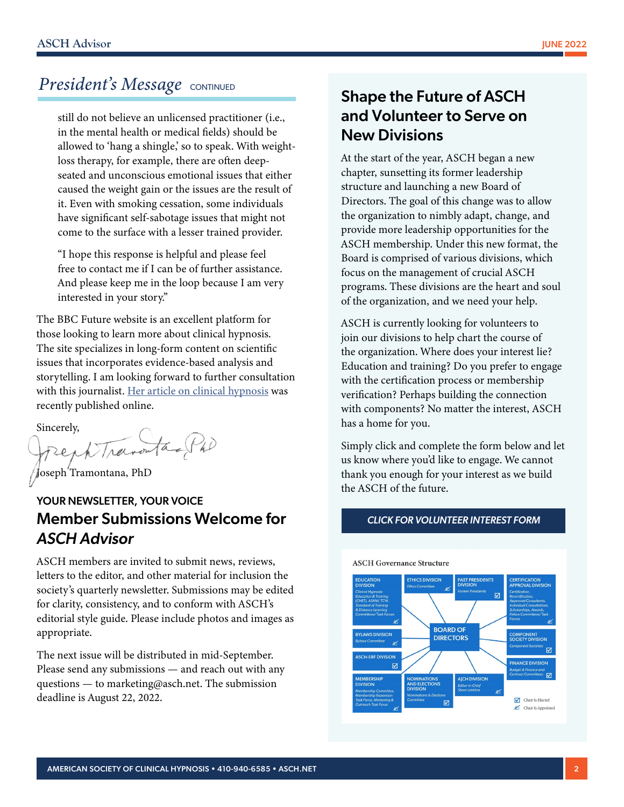# *President's Message* CONTINUED

still do not believe an unlicensed practitioner (i.e., in the mental health or medical fields) should be allowed to 'hang a shingle,' so to speak. With weightloss therapy, for example, there are often deepseated and unconscious emotional issues that either caused the weight gain or the issues are the result of it. Even with smoking cessation, some individuals have significant self-sabotage issues that might not come to the surface with a lesser trained provider.

"I hope this response is helpful and please feel free to contact me if I can be of further assistance. And please keep me in the loop because I am very interested in your story."

The BBC Future website is an excellent platform for those looking to learn more about clinical hypnosis. The site specializes in long-form content on scientific issues that incorporates evidence-based analysis and storytelling. I am looking forward to further consultation with this journalist. [Her article on clinical hypnosis](https://www.bbc.com/future/article/20220519-does-hypnosis-work) was recently published online.

Sincerely,<br>french Travouta Ph)

Joseph Tramontana, PhD

# YOUR NEWSLETTER, YOUR VOICE Member Submissions Welcome for *ASCH Advisor*

ASCH members are invited to submit news, reviews, letters to the editor, and other material for inclusion the society's quarterly newsletter. Submissions may be edited for clarity, consistency, and to conform with ASCH's editorial style guide. Please include photos and images as appropriate.

The next issue will be distributed in mid-September. Please send any submissions — and reach out with any questions — to marketing@asch.net. The submission deadline is August 22, 2022.

# Shape the Future of ASCH and Volunteer to Serve on New Divisions

At the start of the year, ASCH began a new chapter, sunsetting its former leadership structure and launching a new Board of Directors. The goal of this change was to allow the organization to nimbly adapt, change, and provide more leadership opportunities for the ASCH membership. Under this new format, the Board is comprised of various divisions, which focus on the management of crucial ASCH programs. These divisions are the heart and soul of the organization, and we need your help.

ASCH is currently looking for volunteers to join our divisions to help chart the course of the organization. Where does your interest lie? Education and training? Do you prefer to engage with the certification process or membership verification? Perhaps building the connection with components? No matter the interest, ASCH has a home for you.

Simply click and complete the form below and let us know where you'd like to engage. We cannot thank you enough for your interest as we build the ASCH of the future.



#### *[CLICK FOR VOLUNTEER INTEREST FORM](https://associationdatabase.com/aws/ASCH/input_form/display_form_01_show?contact_id=$$Contact%20ID$$&agent_contact_no=0&which_form=57608)*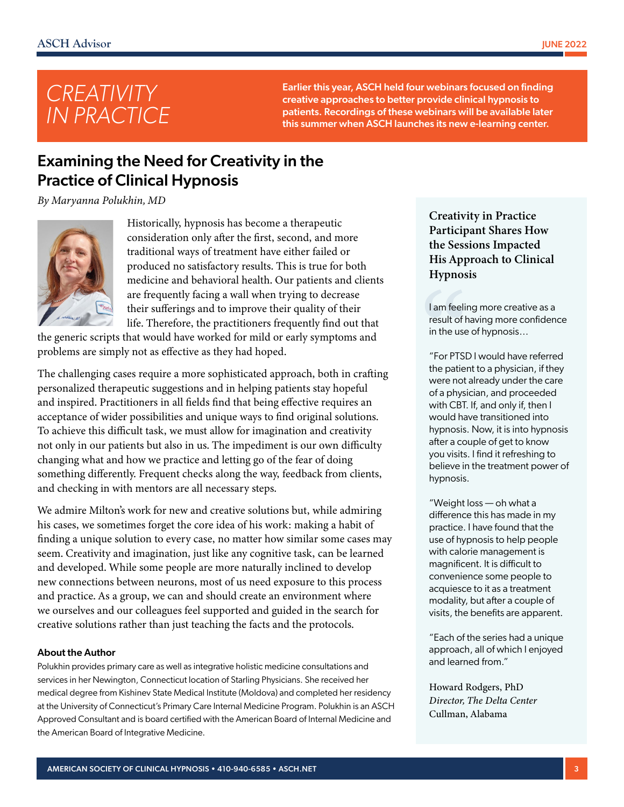

Earlier this year, ASCH held four webinars focused on finding creative approaches to better provide clinical hypnosis to patients. Recordings of these webinars will be available later this summer when ASCH launches its new e-learning center.

# Examining the Need for Creativity in the Practice of Clinical Hypnosis

*By Maryanna Polukhin, MD*



Historically, hypnosis has become a therapeutic consideration only after the first, second, and more traditional ways of treatment have either failed or produced no satisfactory results. This is true for both medicine and behavioral health. Our patients and clients are frequently facing a wall when trying to decrease their sufferings and to improve their quality of their life. Therefore, the practitioners frequently find out that

the generic scripts that would have worked for mild or early symptoms and problems are simply not as effective as they had hoped.

The challenging cases require a more sophisticated approach, both in crafting personalized therapeutic suggestions and in helping patients stay hopeful and inspired. Practitioners in all fields find that being effective requires an acceptance of wider possibilities and unique ways to find original solutions. To achieve this difficult task, we must allow for imagination and creativity not only in our patients but also in us. The impediment is our own difficulty changing what and how we practice and letting go of the fear of doing something differently. Frequent checks along the way, feedback from clients, and checking in with mentors are all necessary steps.

We admire Milton's work for new and creative solutions but, while admiring his cases, we sometimes forget the core idea of his work: making a habit of finding a unique solution to every case, no matter how similar some cases may seem. Creativity and imagination, just like any cognitive task, can be learned and developed. While some people are more naturally inclined to develop new connections between neurons, most of us need exposure to this process and practice. As a group, we can and should create an environment where we ourselves and our colleagues feel supported and guided in the search for creative solutions rather than just teaching the facts and the protocols.

#### About the Author

Polukhin provides primary care as well as integrative holistic medicine consultations and services in her Newington, Connecticut location of Starling Physicians. She received her medical degree from Kishinev State Medical Institute (Moldova) and completed her residency at the University of Connecticut's Primary Care Internal Medicine Program. Polukhin is an ASCH Approved Consultant and is board certified with the American Board of Internal Medicine and the American Board of Integrative Medicine.

Creativity in Practice Participant Shares How the Sessions Impacted His Approach to Clinical Hypnosis

I am feeling more creative as a result of having more confidence in the use of hypnosis…

"For PTSD I would have referred the patient to a physician, if they were not already under the care of a physician, and proceeded with CBT. If, and only if, then I would have transitioned into hypnosis. Now, it is into hypnosis after a couple of get to know you visits. I find it refreshing to believe in the treatment power of hypnosis.

"Weight loss — oh what a difference this has made in my practice. I have found that the use of hypnosis to help people with calorie management is magnificent. It is difficult to convenience some people to acquiesce to it as a treatment modality, but after a couple of visits, the benefits are apparent.

"Each of the series had a unique approach, all of which I enjoyed and learned from."

Howard Rodgers, PhD *Director, The Delta Center* Cullman, Alabama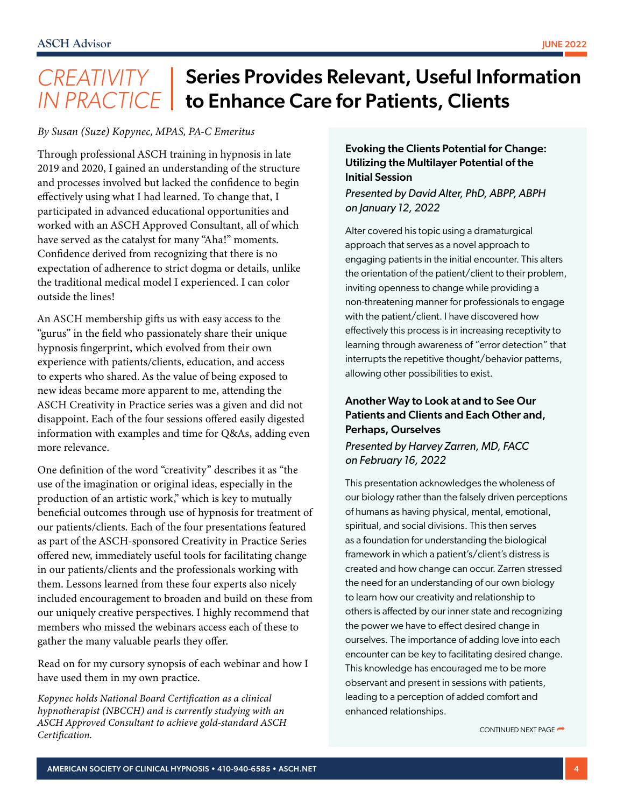# CREATIVITY | Series Provides Relevant, Useful Information *IN PRACTICE* | to Enhance Care for Patients, Clients

#### *By Susan (Suze) Kopynec, MPAS, PA-C Emeritus*

Through professional ASCH training in hypnosis in late 2019 and 2020, I gained an understanding of the structure and processes involved but lacked the confidence to begin effectively using what I had learned. To change that, I participated in advanced educational opportunities and worked with an ASCH Approved Consultant, all of which have served as the catalyst for many "Aha!" moments. Confidence derived from recognizing that there is no expectation of adherence to strict dogma or details, unlike the traditional medical model I experienced. I can color outside the lines!

An ASCH membership gifts us with easy access to the "gurus" in the field who passionately share their unique hypnosis fingerprint, which evolved from their own experience with patients/clients, education, and access to experts who shared. As the value of being exposed to new ideas became more apparent to me, attending the ASCH Creativity in Practice series was a given and did not disappoint. Each of the four sessions offered easily digested information with examples and time for Q&As, adding even more relevance.

One definition of the word "creativity" describes it as "the use of the imagination or original ideas, especially in the production of an artistic work," which is key to mutually beneficial outcomes through use of hypnosis for treatment of our patients/clients. Each of the four presentations featured as part of the ASCH-sponsored Creativity in Practice Series offered new, immediately useful tools for facilitating change in our patients/clients and the professionals working with them. Lessons learned from these four experts also nicely included encouragement to broaden and build on these from our uniquely creative perspectives. I highly recommend that members who missed the webinars access each of these to gather the many valuable pearls they offer.

Read on for my cursory synopsis of each webinar and how I have used them in my own practice.

*Kopynec holds National Board Certification as a clinical hypnotherapist (NBCCH) and is currently studying with an ASCH Approved Consultant to achieve gold-standard ASCH Certification.* CONTINUED NEXT PAGE

#### Evoking the Clients Potential for Change: Utilizing the Multilayer Potential of the Initial Session

*Presented by David Alter, PhD, ABPP, ABPH on January 12, 2022*

Alter covered his topic using a dramaturgical approach that serves as a novel approach to engaging patients in the initial encounter. This alters the orientation of the patient/client to their problem, inviting openness to change while providing a non-threatening manner for professionals to engage with the patient/client. I have discovered how effectively this process is in increasing receptivity to learning through awareness of "error detection" that interrupts the repetitive thought/behavior patterns, allowing other possibilities to exist.

#### Another Way to Look at and to See Our Patients and Clients and Each Other and, Perhaps, Ourselves

#### *Presented by Harvey Zarren, MD, FACC on February 16, 2022*

This presentation acknowledges the wholeness of our biology rather than the falsely driven perceptions of humans as having physical, mental, emotional, spiritual, and social divisions. This then serves as a foundation for understanding the biological framework in which a patient's/client's distress is created and how change can occur. Zarren stressed the need for an understanding of our own biology to learn how our creativity and relationship to others is affected by our inner state and recognizing the power we have to effect desired change in ourselves. The importance of adding love into each encounter can be key to facilitating desired change. This knowledge has encouraged me to be more observant and present in sessions with patients, leading to a perception of added comfort and enhanced relationships.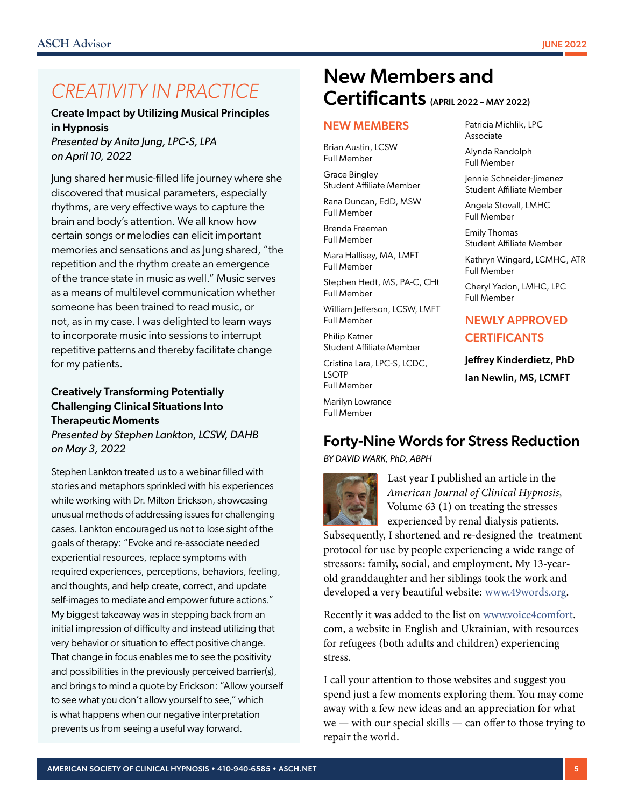# *CREATIVITY IN PRACTICE*

Create Impact by Utilizing Musical Principles in Hypnosis

*Presented by Anita Jung, LPC-S, LPA on April 10, 2022*

Jung shared her music-filled life journey where she discovered that musical parameters, especially rhythms, are very effective ways to capture the brain and body's attention. We all know how certain songs or melodies can elicit important memories and sensations and as Jung shared, "the repetition and the rhythm create an emergence of the trance state in music as well." Music serves as a means of multilevel communication whether someone has been trained to read music, or not, as in my case. I was delighted to learn ways to incorporate music into sessions to interrupt repetitive patterns and thereby facilitate change for my patients.

#### Creatively Transforming Potentially Challenging Clinical Situations Into Therapeutic Moments *Presented by Stephen Lankton, LCSW, DAHB on May 3, 2022*

Stephen Lankton treated us to a webinar filled with stories and metaphors sprinkled with his experiences while working with Dr. Milton Erickson, showcasing unusual methods of addressing issues for challenging cases. Lankton encouraged us not to lose sight of the goals of therapy: "Evoke and re-associate needed experiential resources, replace symptoms with required experiences, perceptions, behaviors, feeling, and thoughts, and help create, correct, and update self-images to mediate and empower future actions." My biggest takeaway was in stepping back from an initial impression of difficulty and instead utilizing that very behavior or situation to effect positive change. That change in focus enables me to see the positivity and possibilities in the previously perceived barrier(s), and brings to mind a quote by Erickson: "Allow yourself to see what you don't allow yourself to see," which is what happens when our negative interpretation prevents us from seeing a useful way forward.

# New Members and Certificants (APRIL 2022 – MAY 2022)

#### NEW MEMBERS

Brian Austin, LCSW Full Member

Grace Bingley Student Affiliate Member

Rana Duncan, EdD, MSW Full Member

Brenda Freeman Full Member

Mara Hallisey, MA, LMFT Full Member

Stephen Hedt, MS, PA-C, CHt Full Member

William Jefferson, LCSW, LMFT Full Member

Philip Katner Student Affiliate Member

Cristina Lara, LPC-S, LCDC, LSOTP Full Member

Marilyn Lowrance Full Member

Patricia Michlik, LPC Associate Alynda Randolph

Full Member

Jennie Schneider-Jimenez Student Affiliate Member

Angela Stovall, LMHC Full Member

Emily Thomas Student Affiliate Member

Kathryn Wingard, LCMHC, ATR Full Member

Cheryl Yadon, LMHC, LPC Full Member

### NEWLY APPROVED **CERTIFICANTS**

Jeffrey Kinderdietz, PhD Ian Newlin, MS, LCMFT

### Forty-Nine Words for Stress Reduction

*BY DAVID WARK, PhD, ABPH*



Last year I published an article in the *American Journal of Clinical Hypnosis*, Volume 63 (1) on treating the stresses experienced by renal dialysis patients.

Subsequently, I shortened and re-designed the treatment protocol for use by people experiencing a wide range of stressors: family, social, and employment. My 13-yearold granddaughter and her siblings took the work and developed a very beautiful website: [www.49words.org.](http://www.49words.org)

Recently it was added to the list on [www.voice4comfort.](http://www.voice4comfort) com, a website in English and Ukrainian, with resources for refugees (both adults and children) experiencing stress.

I call your attention to those websites and suggest you spend just a few moments exploring them. You may come away with a few new ideas and an appreciation for what we — with our special skills — can offer to those trying to repair the world.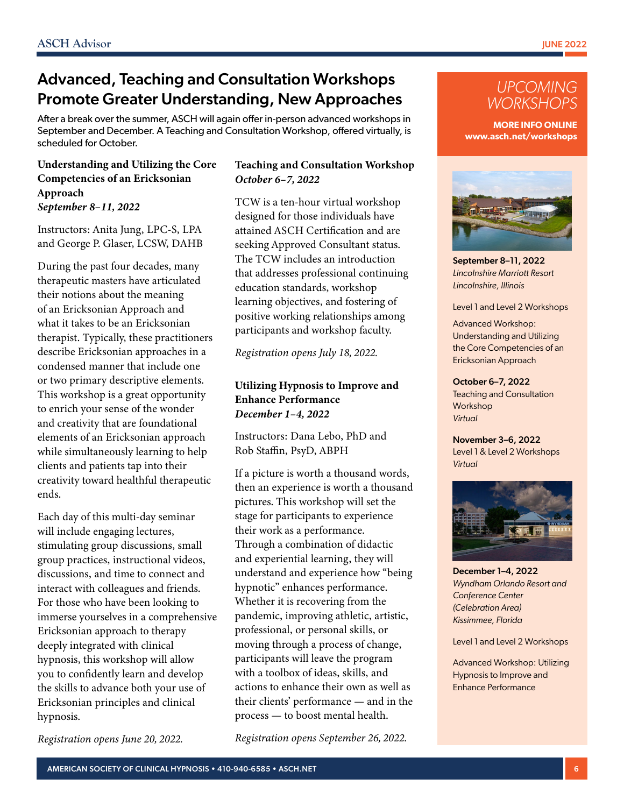# Advanced, Teaching and Consultation Workshops Promote Greater Understanding, New Approaches

After a break over the summer, ASCH will again offer in-person advanced workshops in September and December. A Teaching and Consultation Workshop, offered virtually, is scheduled for October.

#### Understanding and Utilizing the Core Competencies of an Ericksonian Approach *September 8–11, 2022*

Instructors: Anita Jung, LPC-S, LPA and George P. Glaser, LCSW, DAHB

During the past four decades, many therapeutic masters have articulated their notions about the meaning of an Ericksonian Approach and what it takes to be an Ericksonian therapist. Typically, these practitioners describe Ericksonian approaches in a condensed manner that include one or two primary descriptive elements. This workshop is a great opportunity to enrich your sense of the wonder and creativity that are foundational elements of an Ericksonian approach while simultaneously learning to help clients and patients tap into their creativity toward healthful therapeutic ends.

Each day of this multi-day seminar will include engaging lectures, stimulating group discussions, small group practices, instructional videos, discussions, and time to connect and interact with colleagues and friends. For those who have been looking to immerse yourselves in a comprehensive Ericksonian approach to therapy deeply integrated with clinical hypnosis, this workshop will allow you to confidently learn and develop the skills to advance both your use of Ericksonian principles and clinical hypnosis.

*Registration opens June 20, 2022.*

#### Teaching and Consultation Workshop *October 6–7, 2022*

TCW is a ten-hour virtual workshop designed for those individuals have attained ASCH Certification and are seeking Approved Consultant status. The TCW includes an introduction that addresses professional continuing education standards, workshop learning objectives, and fostering of positive working relationships among participants and workshop faculty.

*Registration opens July 18, 2022.*

#### Utilizing Hypnosis to Improve and Enhance Performance *December 1–4, 2022*

Instructors: Dana Lebo, PhD and Rob Staffin, PsyD, ABPH

If a picture is worth a thousand words, then an experience is worth a thousand pictures. This workshop will set the stage for participants to experience their work as a performance. Through a combination of didactic and experiential learning, they will understand and experience how "being hypnotic" enhances performance. Whether it is recovering from the pandemic, improving athletic, artistic, professional, or personal skills, or moving through a process of change, participants will leave the program with a toolbox of ideas, skills, and actions to enhance their own as well as their clients' performance — and in the process — to boost mental health.

*Registration opens September 26, 2022.*



**MORE INFO ONLINE www.asch.net/workshops**



September 8–11, 2022 *Lincolnshire Marriott Resort Lincolnshire, Illinois*

Level 1 and Level 2 Workshops

Advanced Workshop: Understanding and Utilizing the Core Competencies of an Ericksonian Approach

October 6–7, 2022 Teaching and Consultation Workshop *Virtual*

November 3–6, 2022 Level 1 & Level 2 Workshops *Virtual*



December 1–4, 2022 *Wyndham Orlando Resort and Conference Center (Celebration Area) Kissimmee, Florida*

Level 1 and Level 2 Workshops

Advanced Workshop: Utilizing Hypnosis to Improve and Enhance Performance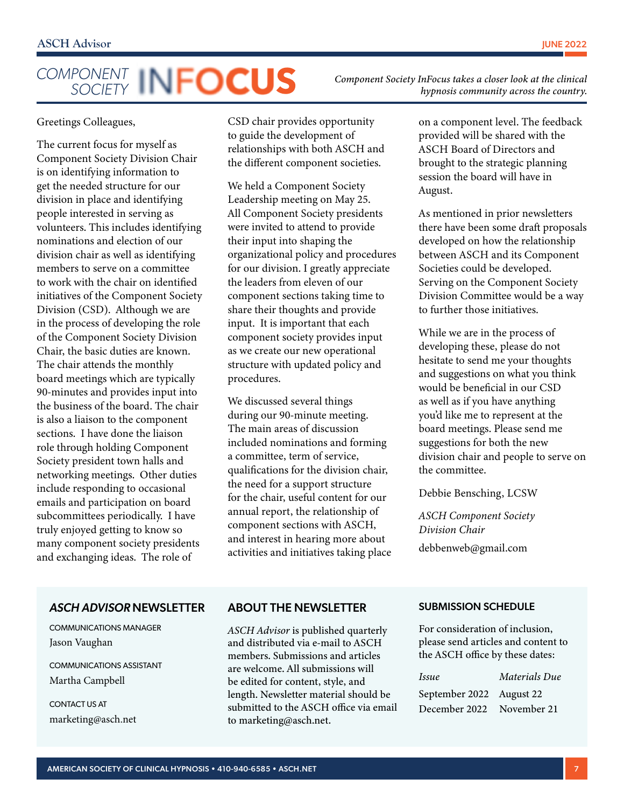# *COMPONENT SOCIETY*

*Component Society InFocus takes a closer look at the clinical hypnosis community across the country.*

Greetings Colleagues,

The current focus for myself as Component Society Division Chair is on identifying information to get the needed structure for our division in place and identifying people interested in serving as volunteers. This includes identifying nominations and election of our division chair as well as identifying members to serve on a committee to work with the chair on identified initiatives of the Component Society Division (CSD). Although we are in the process of developing the role of the Component Society Division Chair, the basic duties are known. The chair attends the monthly board meetings which are typically 90-minutes and provides input into the business of the board. The chair is also a liaison to the component sections. I have done the liaison role through holding Component Society president town halls and networking meetings. Other duties include responding to occasional emails and participation on board subcommittees periodically. I have truly enjoyed getting to know so many component society presidents and exchanging ideas. The role of

CSD chair provides opportunity to guide the development of relationships with both ASCH and the different component societies.

We held a Component Society Leadership meeting on May 25. All Component Society presidents were invited to attend to provide their input into shaping the organizational policy and procedures for our division. I greatly appreciate the leaders from eleven of our component sections taking time to share their thoughts and provide input. It is important that each component society provides input as we create our new operational structure with updated policy and procedures.

We discussed several things during our 90-minute meeting. The main areas of discussion included nominations and forming a committee, term of service, qualifications for the division chair, the need for a support structure for the chair, useful content for our annual report, the relationship of component sections with ASCH, and interest in hearing more about activities and initiatives taking place on a component level. The feedback provided will be shared with the ASCH Board of Directors and brought to the strategic planning session the board will have in August.

As mentioned in prior newsletters there have been some draft proposals developed on how the relationship between ASCH and its Component Societies could be developed. Serving on the Component Society Division Committee would be a way to further those initiatives.

While we are in the process of developing these, please do not hesitate to send me your thoughts and suggestions on what you think would be beneficial in our CSD as well as if you have anything you'd like me to represent at the board meetings. Please send me suggestions for both the new division chair and people to serve on the committee.

Debbie Bensching, LCSW

*ASCH Component Society Division Chair* [debbenweb@gmail.com](mailto:debbenweb@gmail.com) 

#### *ASCH ADVISOR* NEWSLETTER

COMMUNICATIONS MANAGER Jason Vaughan

COMMUNICATIONS ASSISTANT Martha Campbell

CONTACT US AT marketing@asch.net

#### ABOUT THE NEWSLETTER

*ASCH Advisor* is published quarterly and distributed via e-mail to ASCH members. Submissions and articles are welcome. All submissions will be edited for content, style, and length. Newsletter material should be submitted to the ASCH office via email to marketing@asch.net.

#### SUBMISSION SCHEDULE

For consideration of inclusion, please send articles and content to the ASCH office by these dates:

| <i>Issue</i>              | Materials Due |  |
|---------------------------|---------------|--|
| September 2022 August 22  |               |  |
| December 2022 November 21 |               |  |